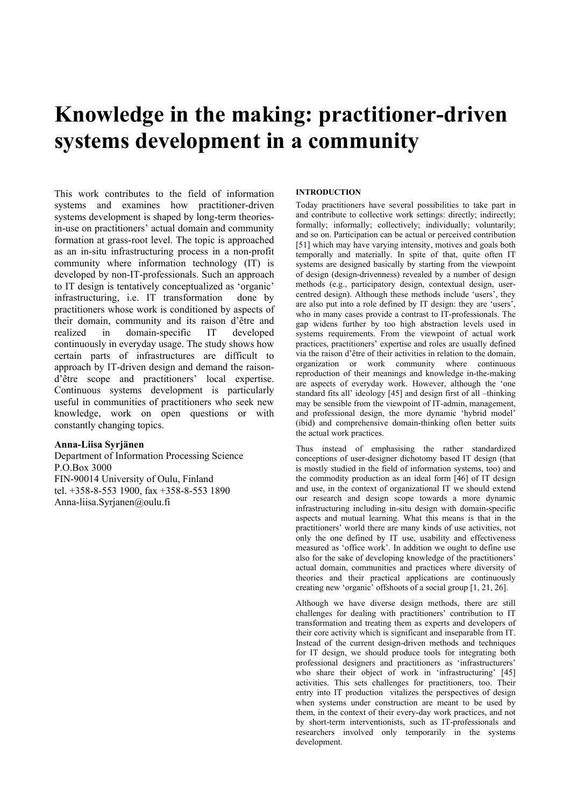# **Knowledge in the making: practitioner-driven systems development in a community**

This work contributes to the field of information systems and examines how practitioner-driven systems development is shaped by long-term theoriesin-use on practitioners' actual domain and community formation at grass-root level. The topic is approached as an in-situ infrastructuring process in a non-profit community where information technology (IT) is developed by non-IT-professionals. Such an approach to IT design is tentatively conceptualized as 'organic' infrastructuring, i.e. IT transformation done by practitioners whose work is conditioned by aspects of their domain, community and its raison d'être and realized in domain-specific IT developed continuously in everyday usage. The study shows how certain parts of infrastructures are difficult to approach by IT-driven design and demand the raisond'être scope and practitioners' local expertise. Continuous systems development is particularly useful in communities of practitioners who seek new knowledge, work on open questions or with constantly changing topics.

# **Anna-Liisa Syrjänen**

Department of Information Processing Science P.O.Box 3000 FIN-90014 University of Oulu, Finland tel. +358-8-553 1900, fax +358-8-553 1890 Anna-liisa.Syrjanen@oulu.fi

## **INTRODUCTION**

Today practitioners have several possibilities to take part in and contribute to collective work settings: directly; indirectly; formally; informally; collectively; individually; voluntarily; and so on. Participation can be actual or perceived contribution [51] which may have varying intensity, motives and goals both temporally and materially. In spite of that, quite often IT systems are designed basically by starting from the viewpoint of design (design-drivenness) revealed by a number of design methods (e.g., participatory design, contextual design, usercentred design). Although these methods include 'users', they are also put into a role defined by IT design: they are 'users', who in many cases provide a contrast to IT-professionals. The gap widens further by too high abstraction levels used in systems requirements. From the viewpoint of actual work practices, practitioners' expertise and roles are usually defined via the raison d'être of their activities in relation to the domain, organization or work community where continuous reproduction of their meanings and knowledge in-the-making are aspects of everyday work. However, although the 'one standard fits all' ideology [45] and design first of all –thinking may be sensible from the viewpoint of IT-admin, management, and professional design, the more dynamic 'hybrid model' (ibid) and comprehensive domain-thinking often better suits the actual work practices.

Thus instead of emphasising the rather standardized conceptions of user-designer dichotomy based IT design (that is mostly studied in the field of information systems, too) and the commodity production as an ideal form [46] of IT design and use, in the context of organizational IT we should extend our research and design scope towards a more dynamic infrastructuring including in-situ design with domain-specific aspects and mutual learning. What this means is that in the practitioners' world there are many kinds of use activities, not only the one defined by IT use, usability and effectiveness measured as 'office work'. In addition we ought to define use also for the sake of developing knowledge of the practitioners' actual domain, communities and practices where diversity of theories and their practical applications are continuously creating new 'organic' offshoots of a social group [1, 21, 26].

Although we have diverse design methods, there are still challenges for dealing with practitioners' contribution to IT transformation and treating them as experts and developers of their core activity which is significant and inseparable from IT. Instead of the current design-driven methods and techniques for IT design, we should produce tools for integrating both professional designers and practitioners as 'infrastructurers' who share their object of work in 'infrastructuring' [45] activities. This sets challenges for practitioners, too. Their entry into IT production vitalizes the perspectives of design when systems under construction are meant to be used by them, in the context of their every-day work practices, and not by short-term interventionists, such as IT-professionals and researchers involved only temporarily in the systems development.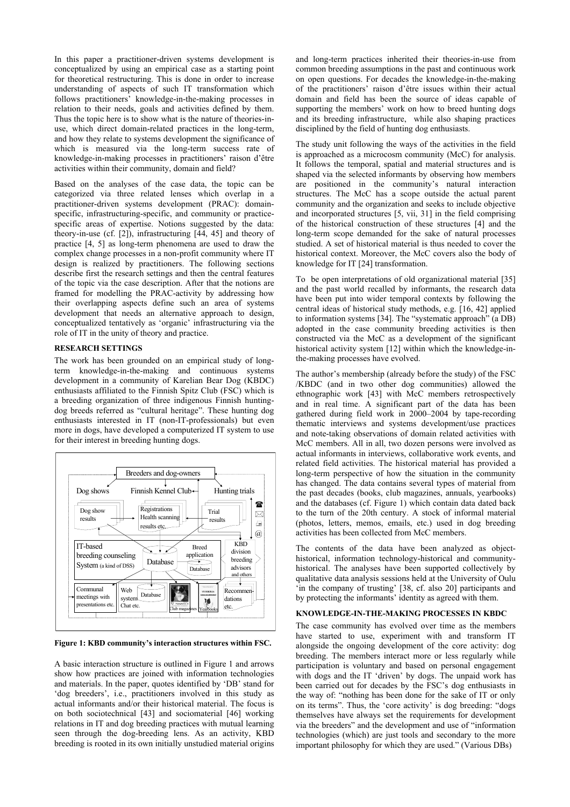In this paper a practitioner-driven systems development is conceptualized by using an empirical case as a starting point for theoretical restructuring. This is done in order to increase understanding of aspects of such IT transformation which follows practitioners' knowledge-in-the-making processes in relation to their needs, goals and activities defined by them. Thus the topic here is to show what is the nature of theories-inuse, which direct domain-related practices in the long-term, and how they relate to systems development the significance of which is measured via the long-term success rate of knowledge-in-making processes in practitioners' raison d'être activities within their community, domain and field?

Based on the analyses of the case data, the topic can be categorized via three related lenses which overlap in a practitioner-driven systems development (PRAC): domainspecific, infrastructuring-specific, and community or practicespecific areas of expertise. Notions suggested by the data: theory-in-use (cf. [2]), infrastructuring [44, 45] and theory of practice [4, 5] as long-term phenomena are used to draw the complex change processes in a non-profit community where IT design is realized by practitioners. The following sections describe first the research settings and then the central features of the topic via the case description. After that the notions are framed for modelling the PRAC-activity by addressing how their overlapping aspects define such an area of systems development that needs an alternative approach to design, conceptualized tentatively as 'organic' infrastructuring via the role of IT in the unity of theory and practice.

#### **RESEARCH SETTINGS**

The work has been grounded on an empirical study of longterm knowledge-in-the-making and continuous systems development in a community of Karelian Bear Dog (KBDC) enthusiasts affiliated to the Finnish Spitz Club (FSC) which is a breeding organization of three indigenous Finnish huntingdog breeds referred as "cultural heritage". These hunting dog enthusiasts interested in IT (non-IT-professionals) but even more in dogs, have developed a computerized IT system to use for their interest in breeding hunting dogs.



**Figure 1: KBD community's interaction structures within FSC.** 

A basic interaction structure is outlined in Figure 1 and arrows show how practices are joined with information technologies and materials. In the paper, quotes identified by 'DB' stand for 'dog breeders', i.e., practitioners involved in this study as actual informants and/or their historical material. The focus is on both sociotechnical [43] and sociomaterial [46] working relations in IT and dog breeding practices with mutual learning seen through the dog-breeding lens. As an activity, KBD breeding is rooted in its own initially unstudied material origins

and long-term practices inherited their theories-in-use from common breeding assumptions in the past and continuous work on open questions. For decades the knowledge-in-the-making of the practitioners' raison d'être issues within their actual domain and field has been the source of ideas capable of supporting the members' work on how to breed hunting dogs and its breeding infrastructure, while also shaping practices disciplined by the field of hunting dog enthusiasts.

The study unit following the ways of the activities in the field is approached as a microcosm community (McC) for analysis. It follows the temporal, spatial and material structures and is shaped via the selected informants by observing how members are positioned in the community's natural interaction structures. The McC has a scope outside the actual parent community and the organization and seeks to include objective and incorporated structures [5, vii, 31] in the field comprising of the historical construction of these structures [4] and the long-term scope demanded for the sake of natural processes studied. A set of historical material is thus needed to cover the historical context. Moreover, the McC covers also the body of knowledge for IT [24] transformation.

To be open interpretations of old organizational material [35] and the past world recalled by informants, the research data have been put into wider temporal contexts by following the central ideas of historical study methods, e.g. [16, 42] applied to information systems [34]. The "systematic approach" (a DB) adopted in the case community breeding activities is then constructed via the McC as a development of the significant historical activity system [12] within which the knowledge-inthe-making processes have evolved.

The author's membership (already before the study) of the FSC /KBDC (and in two other dog communities) allowed the ethnographic work [43] with McC members retrospectively and in real time. A significant part of the data has been gathered during field work in 2000–2004 by tape-recording thematic interviews and systems development/use practices and note-taking observations of domain related activities with McC members. All in all, two dozen persons were involved as actual informants in interviews, collaborative work events, and related field activities. The historical material has provided a long-term perspective of how the situation in the community has changed. The data contains several types of material from the past decades (books, club magazines, annuals, yearbooks) and the databases (cf. Figure 1) which contain data dated back to the turn of the 20th century. A stock of informal material (photos, letters, memos, emails, etc.) used in dog breeding activities has been collected from McC members.

The contents of the data have been analyzed as objecthistorical, information technology-historical and communityhistorical. The analyses have been supported collectively by qualitative data analysis sessions held at the University of Oulu 'in the company of trusting' [38, cf. also 20] participants and by protecting the informants' identity as agreed with them.

## **KNOWLEDGE-IN-THE-MAKING PROCESSES IN KBDC**

The case community has evolved over time as the members have started to use, experiment with and transform IT alongside the ongoing development of the core activity: dog breeding. The members interact more or less regularly while participation is voluntary and based on personal engagement with dogs and the IT 'driven' by dogs. The unpaid work has been carried out for decades by the FSC's dog enthusiasts in the way of: "nothing has been done for the sake of IT or only on its terms". Thus, the 'core activity' is dog breeding: "dogs themselves have always set the requirements for development via the breeders" and the development and use of "information technologies (which) are just tools and secondary to the more important philosophy for which they are used." (Various DBs)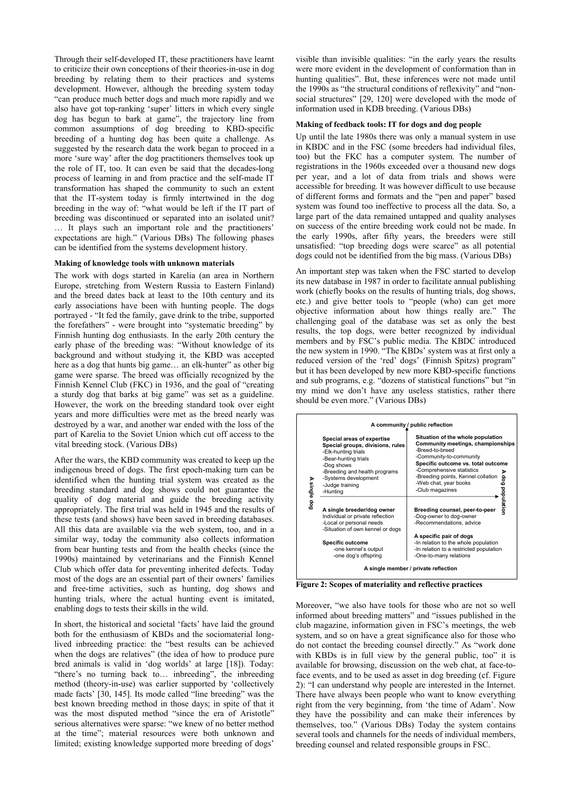Through their self-developed IT, these practitioners have learnt to criticize their own conceptions of their theories-in-use in dog breeding by relating them to their practices and systems development. However, although the breeding system today "can produce much better dogs and much more rapidly and we also have got top-ranking 'super' litters in which every single dog has begun to bark at game", the trajectory line from common assumptions of dog breeding to KBD-specific breeding of a hunting dog has been quite a challenge. As suggested by the research data the work began to proceed in a more 'sure way' after the dog practitioners themselves took up the role of IT, too. It can even be said that the decades-long process of learning in and from practice and the self-made IT transformation has shaped the community to such an extent that the IT-system today is firmly intertwined in the dog breeding in the way of: "what would be left if the IT part of breeding was discontinued or separated into an isolated unit? … It plays such an important role and the practitioners' expectations are high." (Various DBs) The following phases can be identified from the systems development history.

#### **Making of knowledge tools with unknown materials**

The work with dogs started in Karelia (an area in Northern Europe, stretching from Western Russia to Eastern Finland) and the breed dates back at least to the 10th century and its early associations have been with hunting people. The dogs portrayed - "It fed the family, gave drink to the tribe, supported the forefathers" - were brought into "systematic breeding" by Finnish hunting dog enthusiasts. In the early 20th century the early phase of the breeding was: "Without knowledge of its background and without studying it, the KBD was accepted here as a dog that hunts big game... an elk-hunter" as other big game were sparse. The breed was officially recognized by the Finnish Kennel Club (FKC) in 1936, and the goal of "creating a sturdy dog that barks at big game" was set as a guideline. However, the work on the breeding standard took over eight years and more difficulties were met as the breed nearly was destroyed by a war, and another war ended with the loss of the part of Karelia to the Soviet Union which cut off access to the vital breeding stock. (Various DBs)

After the wars, the KBD community was created to keep up the indigenous breed of dogs. The first epoch-making turn can be identified when the hunting trial system was created as the breeding standard and dog shows could not guarantee the quality of dog material and guide the breeding activity appropriately. The first trial was held in 1945 and the results of these tests (and shows) have been saved in breeding databases. All this data are available via the web system, too, and in a similar way, today the community also collects information from bear hunting tests and from the health checks (since the 1990s) maintained by veterinarians and the Finnish Kennel Club which offer data for preventing inherited defects. Today most of the dogs are an essential part of their owners' families and free-time activities, such as hunting, dog shows and hunting trials, where the actual hunting event is imitated, enabling dogs to tests their skills in the wild.

In short, the historical and societal 'facts' have laid the ground both for the enthusiasm of KBDs and the sociomaterial longlived inbreeding practice: the "best results can be achieved when the dogs are relatives" (the idea of how to produce pure bred animals is valid in 'dog worlds' at large [18]). Today: "there's no turning back to… inbreeding", the inbreeding method (theory-in-use) was earlier supported by 'collectively made facts' [30, 145]. Its mode called "line breeding" was the best known breeding method in those days; in spite of that it was the most disputed method "since the era of Aristotle" serious alternatives were sparse: "we knew of no better method at the time"; material resources were both unknown and limited; existing knowledge supported more breeding of dogs'

visible than invisible qualities: "in the early years the results were more evident in the development of conformation than in hunting qualities". But, these inferences were not made until the 1990s as "the structural conditions of reflexivity" and "nonsocial structures" [29, 120] were developed with the mode of information used in KDB breeding. (Various DBs)

# **Making of feedback tools: IT for dogs and dog people**

Up until the late 1980s there was only a manual system in use in KBDC and in the FSC (some breeders had individual files, too) but the FKC has a computer system. The number of registrations in the 1960s exceeded over a thousand new dogs per year, and a lot of data from trials and shows were accessible for breeding. It was however difficult to use because of different forms and formats and the "pen and paper" based system was found too ineffective to process all the data. So, a large part of the data remained untapped and quality analyses on success of the entire breeding work could not be made. In the early 1990s, after fifty years, the breeders were still unsatisfied: "top breeding dogs were scarce" as all potential dogs could not be identified from the big mass. (Various DBs)

An important step was taken when the FSC started to develop its new database in 1987 in order to facilitate annual publishing work (chiefly books on the results of hunting trials, dog shows, etc.) and give better tools to "people (who) can get more objective information about how things really are." The challenging goal of the database was set as only the best results, the top dogs, were better recognized by individual members and by FSC's public media. The KBDC introduced the new system in 1990. "The KBDs' system was at first only a reduced version of the 'red' dogs' (Finnish Spitzs) program" but it has been developed by new more KBD-specific functions and sub programs, e.g. "dozens of statistical functions" but "in my mind we don't have any useless statistics, rather there should be even more." (Various DBs)



**Figure 2: Scopes of materiality and reflective practices** 

Moreover, "we also have tools for those who are not so well informed about breeding matters" and "issues published in the club magazine, information given in FSC's meetings, the web system, and so on have a great significance also for those who do not contact the breeding counsel directly." As "work done with KBDs is in full view by the general public, too" it is available for browsing, discussion on the web chat, at face-toface events, and to be used as asset in dog breeding (cf. Figure 2): "I can understand why people are interested in the Internet. There have always been people who want to know everything right from the very beginning, from 'the time of Adam'. Now they have the possibility and can make their inferences by themselves, too." (Various DBs) Today the system contains several tools and channels for the needs of individual members, breeding counsel and related responsible groups in FSC.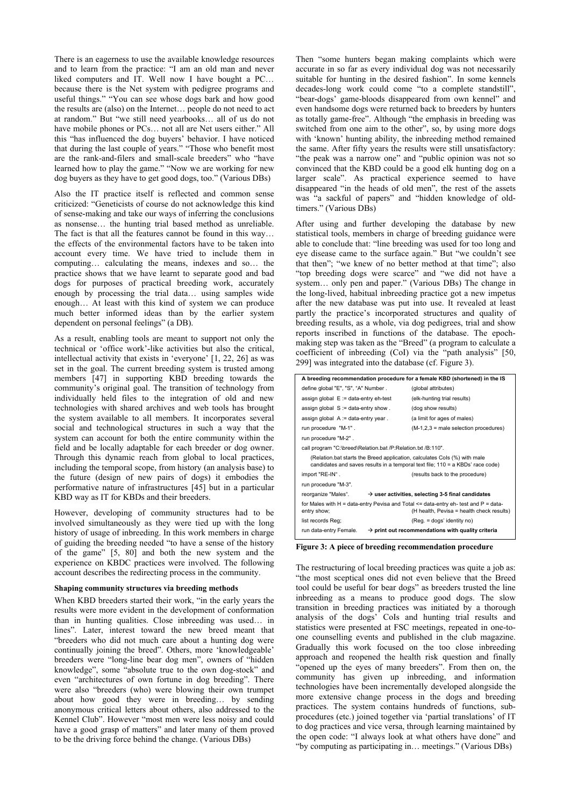There is an eagerness to use the available knowledge resources and to learn from the practice: "I am an old man and never liked computers and IT. Well now I have bought a PC... because there is the Net system with pedigree programs and useful things." "You can see whose dogs bark and how good the results are (also) on the Internet… people do not need to act at random." But "we still need yearbooks… all of us do not have mobile phones or PCs... not all are Net users either." All this "has influenced the dog buyers' behavior. I have noticed that during the last couple of years." "Those who benefit most are the rank-and-filers and small-scale breeders" who "have learned how to play the game." "Now we are working for new dog buyers as they have to get good dogs, too." (Various DBs)

Also the IT practice itself is reflected and common sense criticized: "Geneticists of course do not acknowledge this kind of sense-making and take our ways of inferring the conclusions as nonsense… the hunting trial based method as unreliable. The fact is that all the features cannot be found in this way… the effects of the environmental factors have to be taken into account every time. We have tried to include them in computing… calculating the means, indexes and so… the practice shows that we have learnt to separate good and bad dogs for purposes of practical breeding work, accurately enough by processing the trial data… using samples wide enough… At least with this kind of system we can produce much better informed ideas than by the earlier system dependent on personal feelings" (a DB).

As a result, enabling tools are meant to support not only the technical or 'office work'-like activities but also the critical, intellectual activity that exists in 'everyone' [1, 22, 26] as was set in the goal. The current breeding system is trusted among members [47] in supporting KBD breeding towards the community's original goal. The transition of technology from individually held files to the integration of old and new technologies with shared archives and web tools has brought the system available to all members. It incorporates several social and technological structures in such a way that the system can account for both the entire community within the field and be locally adaptable for each breeder or dog owner. Through this dynamic reach from global to local practices, including the temporal scope, from history (an analysis base) to the future (design of new pairs of dogs) it embodies the performative nature of infrastructures [45] but in a particular KBD way as IT for KBDs and their breeders.

However, developing of community structures had to be involved simultaneously as they were tied up with the long history of usage of inbreeding. In this work members in charge of guiding the breeding needed "to have a sense of the history of the game" [5, 80] and both the new system and the experience on KBDC practices were involved. The following account describes the redirecting process in the community.

#### **Shaping community structures via breeding methods**

When KBD breeders started their work, "in the early years the results were more evident in the development of conformation than in hunting qualities. Close inbreeding was used… in lines". Later, interest toward the new breed meant that "breeders who did not much care about a hunting dog were continually joining the breed". Others, more 'knowledgeable' breeders were "long-line bear dog men", owners of "hidden knowledge", some "absolute true to the own dog-stock" and even "architectures of own fortune in dog breeding". There were also "breeders (who) were blowing their own trumpet about how good they were in breeding… by sending anonymous critical letters about others, also addressed to the Kennel Club". However "most men were less noisy and could have a good grasp of matters" and later many of them proved to be the driving force behind the change. (Various DBs)

Then "some hunters began making complaints which were accurate in so far as every individual dog was not necessarily suitable for hunting in the desired fashion". In some kennels decades-long work could come "to a complete standstill", "bear-dogs' game-bloods disappeared from own kennel" and even handsome dogs were returned back to breeders by hunters as totally game-free". Although "the emphasis in breeding was switched from one aim to the other", so, by using more dogs with 'known' hunting ability, the inbreeding method remained the same. After fifty years the results were still unsatisfactory: "the peak was a narrow one" and "public opinion was not so convinced that the KBD could be a good elk hunting dog on a larger scale". As practical experience seemed to have disappeared "in the heads of old men", the rest of the assets was "a sackful of papers" and "hidden knowledge of oldtimers." (Various DBs)

After using and further developing the database by new statistical tools, members in charge of breeding guidance were able to conclude that: "line breeding was used for too long and eye disease came to the surface again." But "we couldn't see that then"; "we knew of no better method at that time"; also "top breeding dogs were scarce" and "we did not have a system… only pen and paper." (Various DBs) The change in the long-lived, habitual inbreeding practice got a new impetus after the new database was put into use. It revealed at least partly the practice's incorporated structures and quality of breeding results, as a whole, via dog pedigrees, trial and show reports inscribed in functions of the database. The epochmaking step was taken as the "Breed" (a program to calculate a coefficient of inbreeding (CoI) via the "path analysis" [50, 299] was integrated into the database (cf. Figure 3).

| A breeding recommendation procedure for a female KBD (shortened) in the IS                                                                                  |                                                               |                                                               |
|-------------------------------------------------------------------------------------------------------------------------------------------------------------|---------------------------------------------------------------|---------------------------------------------------------------|
| define global "E", "S", "A" Number.                                                                                                                         |                                                               | (global attributes)                                           |
| assign global $E :=$ data-entry eh-test                                                                                                                     |                                                               | (elk-hunting trial results)                                   |
| assign global $S :=$ data-entry show.                                                                                                                       |                                                               | (dog show results)                                            |
| assign global $A := data$ -entry year.                                                                                                                      |                                                               | (a limit for ages of males)                                   |
| run procedure "M-1".                                                                                                                                        |                                                               | $(M-1,2,3)$ = male selection procedures)                      |
| run procedure "M-2".                                                                                                                                        |                                                               |                                                               |
| call program "C:\breed\Relation.bat /P:Relation.txt /B:110".                                                                                                |                                                               |                                                               |
| (Relation bat starts the Breed application, calculates Cols (%) with male<br>candidates and saves results in a temporal text file; 110 = a KBDs' race code) |                                                               |                                                               |
| import "RE-IN".                                                                                                                                             |                                                               | (results back to the procedure)                               |
| run procedure "M-3".                                                                                                                                        |                                                               |                                                               |
| reorganize "Males".                                                                                                                                         | $\rightarrow$ user activities, selecting 3-5 final candidates |                                                               |
| for Males with H = data-entry Pevisa and Total $\leq$ data-entry eh-test and P = data-<br>(H health, Pevisa = health check results)<br>entry show;          |                                                               |                                                               |
| list records Req;                                                                                                                                           |                                                               | (Reg. = dogs' identity no)                                    |
| run data-entry Female.                                                                                                                                      |                                                               | $\rightarrow$ print out recommendations with quality criteria |
|                                                                                                                                                             |                                                               |                                                               |

**Figure 3: A piece of breeding recommendation procedure** 

The restructuring of local breeding practices was quite a job as: "the most sceptical ones did not even believe that the Breed tool could be useful for bear dogs" as breeders trusted the line inbreeding as a means to produce good dogs. The slow transition in breeding practices was initiated by a thorough analysis of the dogs' CoIs and hunting trial results and statistics were presented at FSC meetings, repeated in one-toone counselling events and published in the club magazine. Gradually this work focused on the too close inbreeding approach and reopened the health risk question and finally "opened up the eyes of many breeders". From then on, the community has given up inbreeding, and information technologies have been incrementally developed alongside the more extensive change process in the dogs and breeding practices. The system contains hundreds of functions, subprocedures (etc.) joined together via 'partial translations' of IT to dog practices and vice versa, through learning maintained by the open code: "I always look at what others have done" and "by computing as participating in… meetings." (Various DBs)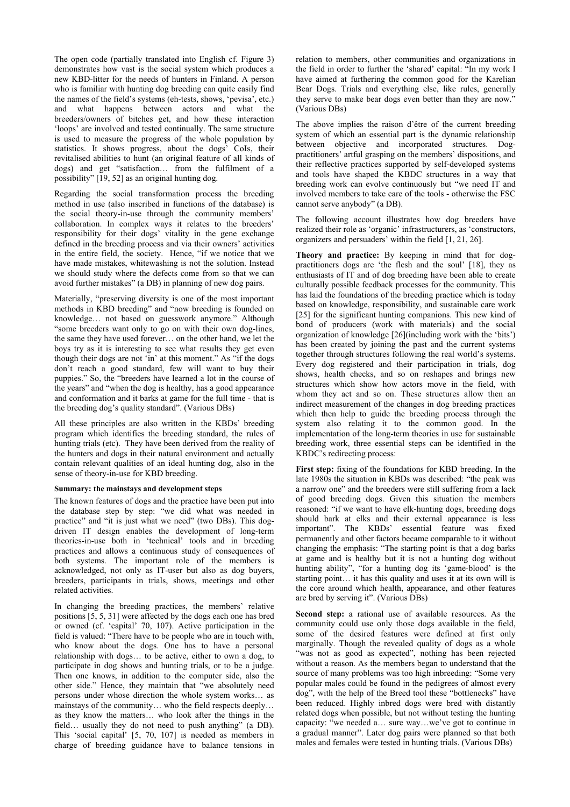The open code (partially translated into English cf. Figure 3) demonstrates how vast is the social system which produces a new KBD-litter for the needs of hunters in Finland. A person who is familiar with hunting dog breeding can quite easily find the names of the field's systems (eh-tests, shows, 'pevisa', etc.) and what happens between actors and what the breeders/owners of bitches get, and how these interaction 'loops' are involved and tested continually. The same structure is used to measure the progress of the whole population by statistics. It shows progress, about the dogs' CoIs, their revitalised abilities to hunt (an original feature of all kinds of dogs) and get "satisfaction… from the fulfilment of a possibility" [19, 52] as an original hunting dog.

Regarding the social transformation process the breeding method in use (also inscribed in functions of the database) is the social theory-in-use through the community members' collaboration. In complex ways it relates to the breeders' responsibility for their dogs' vitality in the gene exchange defined in the breeding process and via their owners' activities in the entire field, the society. Hence, "if we notice that we have made mistakes, whitewashing is not the solution. Instead we should study where the defects come from so that we can avoid further mistakes" (a DB) in planning of new dog pairs.

Materially, "preserving diversity is one of the most important methods in KBD breeding" and "now breeding is founded on knowledge… not based on guesswork anymore." Although "some breeders want only to go on with their own dog-lines, the same they have used forever… on the other hand, we let the boys try as it is interesting to see what results they get even though their dogs are not 'in' at this moment." As "if the dogs don't reach a good standard, few will want to buy their puppies." So, the "breeders have learned a lot in the course of the years" and "when the dog is healthy, has a good appearance and conformation and it barks at game for the full time - that is the breeding dog's quality standard". (Various DBs)

All these principles are also written in the KBDs' breeding program which identifies the breeding standard, the rules of hunting trials (etc). They have been derived from the reality of the hunters and dogs in their natural environment and actually contain relevant qualities of an ideal hunting dog, also in the sense of theory-in-use for KBD breeding.

#### **Summary: the mainstays and development steps**

The known features of dogs and the practice have been put into the database step by step: "we did what was needed in practice" and "it is just what we need" (two DBs). This dogdriven IT design enables the development of long-term theories-in-use both in 'technical' tools and in breeding practices and allows a continuous study of consequences of both systems. The important role of the members is acknowledged, not only as IT-user but also as dog buyers, breeders, participants in trials, shows, meetings and other related activities.

In changing the breeding practices, the members' relative positions [5, 5, 31] were affected by the dogs each one has bred or owned (cf. 'capital' 70, 107). Active participation in the field is valued: "There have to be people who are in touch with, who know about the dogs. One has to have a personal relationship with dogs… to be active, either to own a dog, to participate in dog shows and hunting trials, or to be a judge. Then one knows, in addition to the computer side, also the other side." Hence, they maintain that "we absolutely need persons under whose direction the whole system works… as mainstays of the community… who the field respects deeply… as they know the matters… who look after the things in the field… usually they do not need to push anything" (a DB). This 'social capital' [5, 70, 107] is needed as members in charge of breeding guidance have to balance tensions in

relation to members, other communities and organizations in the field in order to further the 'shared' capital: "In my work I have aimed at furthering the common good for the Karelian Bear Dogs. Trials and everything else, like rules, generally they serve to make bear dogs even better than they are now." (Various DBs)

The above implies the raison d'être of the current breeding system of which an essential part is the dynamic relationship between objective and incorporated structures. Dogpractitioners' artful grasping on the members' dispositions, and their reflective practices supported by self-developed systems and tools have shaped the KBDC structures in a way that breeding work can evolve continuously but "we need IT and involved members to take care of the tools - otherwise the FSC cannot serve anybody" (a DB).

The following account illustrates how dog breeders have realized their role as 'organic' infrastructurers, as 'constructors, organizers and persuaders' within the field [1, 21, 26].

**Theory and practice:** By keeping in mind that for dogpractitioners dogs are 'the flesh and the soul' [18], they as enthusiasts of IT and of dog breeding have been able to create culturally possible feedback processes for the community. This has laid the foundations of the breeding practice which is today based on knowledge, responsibility, and sustainable care work [25] for the significant hunting companions. This new kind of bond of producers (work with materials) and the social organization of knowledge [26](including work with the 'bits') has been created by joining the past and the current systems together through structures following the real world's systems. Every dog registered and their participation in trials, dog shows, health checks, and so on reshapes and brings new structures which show how actors move in the field, with whom they act and so on. These structures allow then an indirect measurement of the changes in dog breeding practices which then help to guide the breeding process through the system also relating it to the common good. In the implementation of the long-term theories in use for sustainable breeding work, three essential steps can be identified in the KBDC's redirecting process:

**First step:** fixing of the foundations for KBD breeding. In the late 1980s the situation in KBDs was described: "the peak was a narrow one" and the breeders were still suffering from a lack of good breeding dogs. Given this situation the members reasoned: "if we want to have elk-hunting dogs, breeding dogs should bark at elks and their external appearance is less important". The KBDs' essential feature was fixed permanently and other factors became comparable to it without changing the emphasis: "The starting point is that a dog barks at game and is healthy but it is not a hunting dog without hunting ability", "for a hunting dog its 'game-blood' is the starting point… it has this quality and uses it at its own will is the core around which health, appearance, and other features are bred by serving it". (Various DBs)

**Second step:** a rational use of available resources. As the community could use only those dogs available in the field, some of the desired features were defined at first only marginally. Though the revealed quality of dogs as a whole "was not as good as expected", nothing has been rejected without a reason. As the members began to understand that the source of many problems was too high inbreeding: "Some very popular males could be found in the pedigrees of almost every dog", with the help of the Breed tool these "bottlenecks" have been reduced. Highly inbred dogs were bred with distantly related dogs when possible, but not without testing the hunting capacity: "we needed a… sure way…we've got to continue in a gradual manner". Later dog pairs were planned so that both males and females were tested in hunting trials. (Various DBs)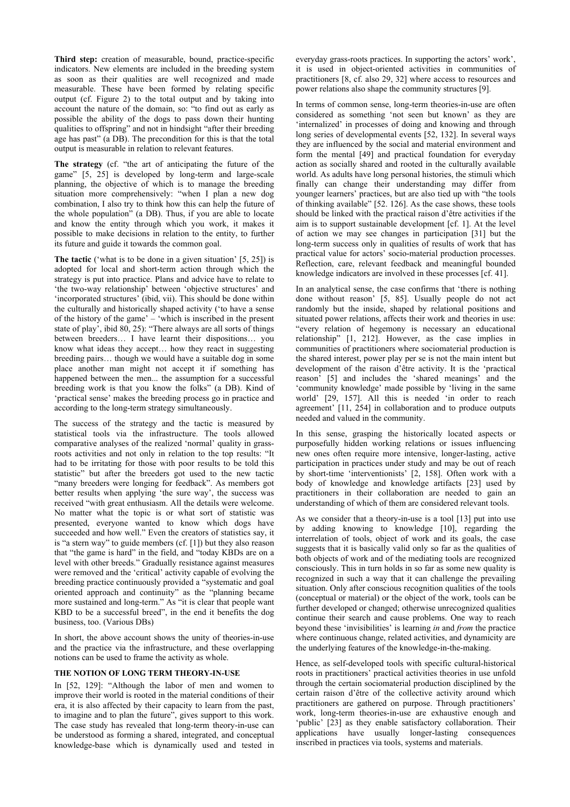**Third step:** creation of measurable, bound, practice-specific indicators. New elements are included in the breeding system as soon as their qualities are well recognized and made measurable. These have been formed by relating specific output (cf. Figure 2) to the total output and by taking into account the nature of the domain, so: "to find out as early as possible the ability of the dogs to pass down their hunting qualities to offspring" and not in hindsight "after their breeding age has past" (a DB). The precondition for this is that the total output is measurable in relation to relevant features.

**The strategy** (cf. "the art of anticipating the future of the game" [5, 25] is developed by long-term and large-scale planning, the objective of which is to manage the breeding situation more comprehensively: "when I plan a new dog combination, I also try to think how this can help the future of the whole population" (a DB). Thus, if you are able to locate and know the entity through which you work, it makes it possible to make decisions in relation to the entity, to further its future and guide it towards the common goal.

**The tactic** ('what is to be done in a given situation' [5, 25]) is adopted for local and short-term action through which the strategy is put into practice. Plans and advice have to relate to 'the two-way relationship' between 'objective structures' and 'incorporated structures' (ibid, vii). This should be done within the culturally and historically shaped activity ('to have a sense of the history of the game' – 'which is inscribed in the present state of play', ibid 80, 25): "There always are all sorts of things between breeders… I have learnt their dispositions… you know what ideas they accept… how they react in suggesting breeding pairs… though we would have a suitable dog in some place another man might not accept it if something has happened between the men... the assumption for a successful breeding work is that you know the folks" (a DB). Kind of 'practical sense' makes the breeding process go in practice and according to the long-term strategy simultaneously.

The success of the strategy and the tactic is measured by statistical tools via the infrastructure. The tools allowed comparative analyses of the realized 'normal' quality in grassroots activities and not only in relation to the top results: "It had to be irritating for those with poor results to be told this statistic" but after the breeders got used to the new tactic "many breeders were longing for feedback". As members got better results when applying 'the sure way', the success was received "with great enthusiasm. All the details were welcome. No matter what the topic is or what sort of statistic was presented, everyone wanted to know which dogs have succeeded and how well." Even the creators of statistics say, it is "a stern way" to guide members (cf. [1]) but they also reason that "the game is hard" in the field, and "today KBDs are on a level with other breeds." Gradually resistance against measures were removed and the 'critical' activity capable of evolving the breeding practice continuously provided a "systematic and goal oriented approach and continuity" as the "planning became more sustained and long-term." As "it is clear that people want KBD to be a successful breed", in the end it benefits the dog business, too. (Various DBs)

In short, the above account shows the unity of theories-in-use and the practice via the infrastructure, and these overlapping notions can be used to frame the activity as whole.

#### **THE NOTION OF LONG TERM THEORY-IN-USE**

In [52, 129]: "Although the labor of men and women to improve their world is rooted in the material conditions of their era, it is also affected by their capacity to learn from the past, to imagine and to plan the future", gives support to this work. The case study has revealed that long-term theory-in-use can be understood as forming a shared, integrated, and conceptual knowledge-base which is dynamically used and tested in

everyday grass-roots practices. In supporting the actors' work', it is used in object-oriented activities in communities of practitioners [8, cf. also 29, 32] where access to resources and power relations also shape the community structures [9].

In terms of common sense, long-term theories-in-use are often considered as something 'not seen but known' as they are 'internalized' in processes of doing and knowing and through long series of developmental events [52, 132]. In several ways they are influenced by the social and material environment and form the mental [49] and practical foundation for everyday action as socially shared and rooted in the culturally available world. As adults have long personal histories, the stimuli which finally can change their understanding may differ from younger learners' practices, but are also tied up with "the tools of thinking available" [52. 126]. As the case shows, these tools should be linked with the practical raison d'être activities if the aim is to support sustainable development [cf. 1]. At the level of action we may see changes in participation [31] but the long-term success only in qualities of results of work that has practical value for actors' socio-material production processes. Reflection, care, relevant feedback and meaningful bounded knowledge indicators are involved in these processes [cf. 41].

In an analytical sense, the case confirms that 'there is nothing done without reason' [5, 85]. Usually people do not act randomly but the inside, shaped by relational positions and situated power relations, affects their work and theories in use: "every relation of hegemony is necessary an educational relationship" [1, 212]. However, as the case implies in communities of practitioners where sociomaterial production is the shared interest, power play per se is not the main intent but development of the raison d'être activity. It is the 'practical reason' [5] and includes the 'shared meanings' and the 'community knowledge' made possible by 'living in the same world' [29, 157]. All this is needed 'in order to reach agreement' [11, 254] in collaboration and to produce outputs needed and valued in the community.

In this sense, grasping the historically located aspects or purposefully hidden working relations or issues influencing new ones often require more intensive, longer-lasting, active participation in practices under study and may be out of reach by short-time 'interventionists' [2, 158]. Often work with a body of knowledge and knowledge artifacts [23] used by practitioners in their collaboration are needed to gain an understanding of which of them are considered relevant tools.

As we consider that a theory-in-use is a tool [13] put into use by adding knowing to knowledge [10], regarding the interrelation of tools, object of work and its goals, the case suggests that it is basically valid only so far as the qualities of both objects of work and of the mediating tools are recognized consciously. This in turn holds in so far as some new quality is recognized in such a way that it can challenge the prevailing situation. Only after conscious recognition qualities of the tools (conceptual or material) or the object of the work, tools can be further developed or changed; otherwise unrecognized qualities continue their search and cause problems. One way to reach beyond these 'invisibilities' is learning *in* and *from* the practice where continuous change, related activities, and dynamicity are the underlying features of the knowledge-in-the-making.

Hence, as self-developed tools with specific cultural-historical roots in practitioners' practical activities theories in use unfold through the certain sociomaterial production disciplined by the certain raison d'être of the collective activity around which practitioners are gathered on purpose. Through practitioners' work, long-term theories-in-use are exhaustive enough and 'public' [23] as they enable satisfactory collaboration. Their applications have usually longer-lasting consequences inscribed in practices via tools, systems and materials.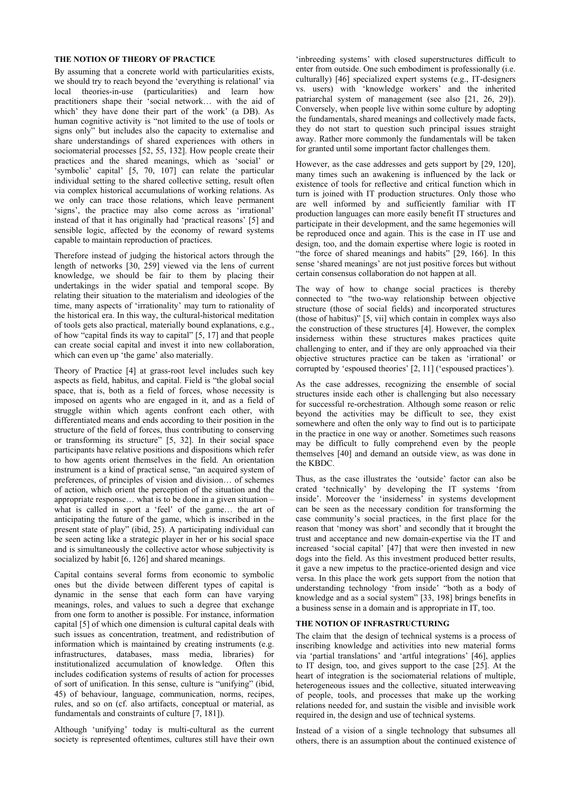## **THE NOTION OF THEORY OF PRACTICE**

By assuming that a concrete world with particularities exists, we should try to reach beyond the 'everything is relational' via local theories-in-use (particularities) and learn how practitioners shape their 'social network… with the aid of which' they have done their part of the work' (a DB). As human cognitive activity is "not limited to the use of tools or signs only" but includes also the capacity to externalise and share understandings of shared experiences with others in sociomaterial processes [52, 55, 132]. How people create their practices and the shared meanings, which as 'social' or 'symbolic' capital' [5, 70, 107] can relate the particular individual setting to the shared collective setting, result often via complex historical accumulations of working relations. As we only can trace those relations, which leave permanent 'signs', the practice may also come across as 'irrational' instead of that it has originally had 'practical reasons' [5] and sensible logic, affected by the economy of reward systems capable to maintain reproduction of practices.

Therefore instead of judging the historical actors through the length of networks [30, 259] viewed via the lens of current knowledge, we should be fair to them by placing their undertakings in the wider spatial and temporal scope. By relating their situation to the materialism and ideologies of the time, many aspects of 'irrationality' may turn to rationality of the historical era. In this way, the cultural-historical meditation of tools gets also practical, materially bound explanations, e.g., of how "capital finds its way to capital" [5, 17] and that people can create social capital and invest it into new collaboration, which can even up 'the game' also materially.

Theory of Practice [4] at grass-root level includes such key aspects as field, habitus, and capital. Field is "the global social space, that is, both as a field of forces, whose necessity is imposed on agents who are engaged in it, and as a field of struggle within which agents confront each other, with differentiated means and ends according to their position in the structure of the field of forces, thus contributing to conserving or transforming its structure" [5, 32]. In their social space participants have relative positions and dispositions which refer to how agents orient themselves in the field. An orientation instrument is a kind of practical sense, "an acquired system of preferences, of principles of vision and division… of schemes of action, which orient the perception of the situation and the appropriate response… what is to be done in a given situation – what is called in sport a 'feel' of the game... the art of anticipating the future of the game, which is inscribed in the present state of play" (ibid, 25). A participating individual can be seen acting like a strategic player in her or his social space and is simultaneously the collective actor whose subjectivity is socialized by habit [6, 126] and shared meanings.

Capital contains several forms from economic to symbolic ones but the divide between different types of capital is dynamic in the sense that each form can have varying meanings, roles, and values to such a degree that exchange from one form to another is possible. For instance, information capital [5] of which one dimension is cultural capital deals with such issues as concentration, treatment, and redistribution of information which is maintained by creating instruments (e.g. infrastructures, databases, mass media, libraries) for institutionalized accumulation of knowledge. Often this includes codification systems of results of action for processes of sort of unification. In this sense, culture is "unifying" (ibid, 45) of behaviour, language, communication, norms, recipes, rules, and so on (cf. also artifacts, conceptual or material, as fundamentals and constraints of culture [7, 181]).

Although 'unifying' today is multi-cultural as the current society is represented oftentimes, cultures still have their own

'inbreeding systems' with closed superstructures difficult to enter from outside. One such embodiment is professionally (i.e. culturally) [46] specialized expert systems (e.g., IT-designers vs. users) with 'knowledge workers' and the inherited patriarchal system of management (see also [21, 26, 29]). Conversely, when people live within some culture by adopting the fundamentals, shared meanings and collectively made facts, they do not start to question such principal issues straight away. Rather more commonly the fundamentals will be taken for granted until some important factor challenges them.

However, as the case addresses and gets support by [29, 120], many times such an awakening is influenced by the lack or existence of tools for reflective and critical function which in turn is joined with IT production structures. Only those who are well informed by and sufficiently familiar with IT production languages can more easily benefit IT structures and participate in their development, and the same hegemonies will be reproduced once and again. This is the case in IT use and design, too, and the domain expertise where logic is rooted in "the force of shared meanings and habits" [29, 166]. In this sense 'shared meanings' are not just positive forces but without certain consensus collaboration do not happen at all.

The way of how to change social practices is thereby connected to "the two-way relationship between objective structure (those of social fields) and incorporated structures (those of habitus)" [5, vii] which contain in complex ways also the construction of these structures [4]. However, the complex insiderness within these structures makes practices quite challenging to enter, and if they are only approached via their objective structures practice can be taken as 'irrational' or corrupted by 'espoused theories' [2, 11] ('espoused practices').

As the case addresses, recognizing the ensemble of social structures inside each other is challenging but also necessary for successful re-orchestration. Although some reason or relic beyond the activities may be difficult to see, they exist somewhere and often the only way to find out is to participate in the practice in one way or another. Sometimes such reasons may be difficult to fully comprehend even by the people themselves [40] and demand an outside view, as was done in the KBDC.

Thus, as the case illustrates the 'outside' factor can also be crated 'technically' by developing the IT systems 'from inside'. Moreover the 'insiderness' in systems development can be seen as the necessary condition for transforming the case community's social practices, in the first place for the reason that 'money was short' and secondly that it brought the trust and acceptance and new domain-expertise via the IT and increased 'social capital' [47] that were then invested in new dogs into the field. As this investment produced better results, it gave a new impetus to the practice-oriented design and vice versa. In this place the work gets support from the notion that understanding technology 'from inside' "both as a body of knowledge and as a social system" [33, 198] brings benefits in a business sense in a domain and is appropriate in IT, too.

#### **THE NOTION OF INFRASTRUCTURING**

The claim that the design of technical systems is a process of inscribing knowledge and activities into new material forms via 'partial translations' and 'artful integrations' [46], applies to IT design, too, and gives support to the case [25]. At the heart of integration is the sociomaterial relations of multiple, heterogeneous issues and the collective, situated interweaving of people, tools, and processes that make up the working relations needed for, and sustain the visible and invisible work required in, the design and use of technical systems.

Instead of a vision of a single technology that subsumes all others, there is an assumption about the continued existence of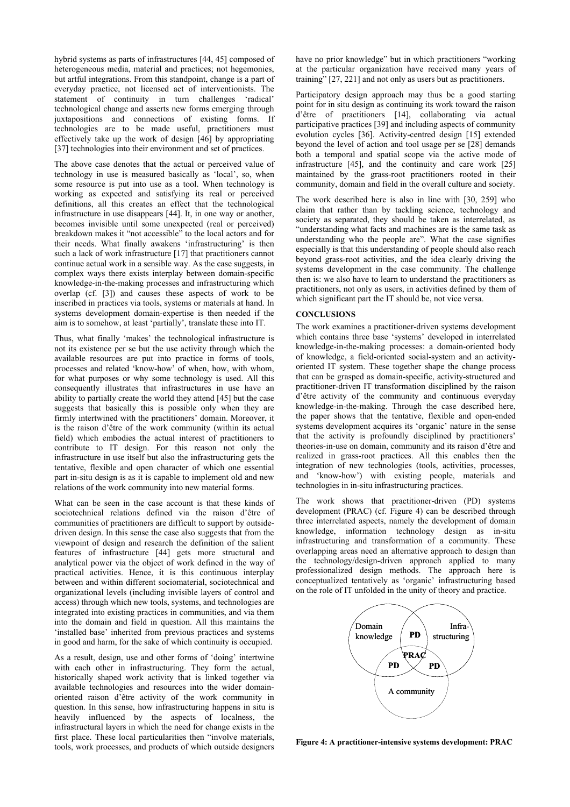hybrid systems as parts of infrastructures [44, 45] composed of heterogeneous media, material and practices; not hegemonies, but artful integrations. From this standpoint, change is a part of everyday practice, not licensed act of interventionists. The statement of continuity in turn challenges 'radical' technological change and asserts new forms emerging through juxtapositions and connections of existing forms. If technologies are to be made useful, practitioners must effectively take up the work of design [46] by appropriating [37] technologies into their environment and set of practices.

The above case denotes that the actual or perceived value of technology in use is measured basically as 'local', so, when some resource is put into use as a tool. When technology is working as expected and satisfying its real or perceived definitions, all this creates an effect that the technological infrastructure in use disappears [44]. It, in one way or another, becomes invisible until some unexpected (real or perceived) breakdown makes it "not accessible" to the local actors and for their needs. What finally awakens 'infrastructuring' is then such a lack of work infrastructure [17] that practitioners cannot continue actual work in a sensible way. As the case suggests, in complex ways there exists interplay between domain-specific knowledge-in-the-making processes and infrastructuring which overlap (cf. [3]) and causes these aspects of work to be inscribed in practices via tools, systems or materials at hand. In systems development domain-expertise is then needed if the aim is to somehow, at least 'partially', translate these into IT.

Thus, what finally 'makes' the technological infrastructure is not its existence per se but the use activity through which the available resources are put into practice in forms of tools, processes and related 'know-how' of when, how, with whom, for what purposes or why some technology is used. All this consequently illustrates that infrastructures in use have an ability to partially create the world they attend [45] but the case suggests that basically this is possible only when they are firmly intertwined with the practitioners' domain. Moreover, it is the raison d'être of the work community (within its actual field) which embodies the actual interest of practitioners to contribute to IT design. For this reason not only the infrastructure in use itself but also the infrastructuring gets the tentative, flexible and open character of which one essential part in-situ design is as it is capable to implement old and new relations of the work community into new material forms.

What can be seen in the case account is that these kinds of sociotechnical relations defined via the raison d'être of communities of practitioners are difficult to support by outsidedriven design. In this sense the case also suggests that from the viewpoint of design and research the definition of the salient features of infrastructure [44] gets more structural and analytical power via the object of work defined in the way of practical activities. Hence, it is this continuous interplay between and within different sociomaterial, sociotechnical and organizational levels (including invisible layers of control and access) through which new tools, systems, and technologies are integrated into existing practices in communities, and via them into the domain and field in question. All this maintains the 'installed base' inherited from previous practices and systems in good and harm, for the sake of which continuity is occupied.

As a result, design, use and other forms of 'doing' intertwine with each other in infrastructuring. They form the actual, historically shaped work activity that is linked together via available technologies and resources into the wider domainoriented raison d'être activity of the work community in question. In this sense, how infrastructuring happens in situ is heavily influenced by the aspects of localness, the infrastructural layers in which the need for change exists in the first place. These local particularities then "involve materials, tools, work processes, and products of which outside designers

have no prior knowledge" but in which practitioners "working at the particular organization have received many years of training" [27, 221] and not only as users but as practitioners.

Participatory design approach may thus be a good starting point for in situ design as continuing its work toward the raison d'être of practitioners [14], collaborating via actual participative practices [39] and including aspects of community evolution cycles [36]. Activity-centred design [15] extended beyond the level of action and tool usage per se [28] demands both a temporal and spatial scope via the active mode of infrastructure [45], and the continuity and care work [25] maintained by the grass-root practitioners rooted in their community, domain and field in the overall culture and society.

The work described here is also in line with [30, 259] who claim that rather than by tackling science, technology and society as separated, they should be taken as interrelated, as "understanding what facts and machines are is the same task as understanding who the people are". What the case signifies especially is that this understanding of people should also reach beyond grass-root activities, and the idea clearly driving the systems development in the case community. The challenge then is: we also have to learn to understand the practitioners as practitioners, not only as users, in activities defined by them of which significant part the IT should be, not vice versa.

## **CONCLUSIONS**

The work examines a practitioner-driven systems development which contains three base 'systems' developed in interrelated knowledge-in-the-making processes: a domain-oriented body of knowledge, a field-oriented social-system and an activityoriented IT system. These together shape the change process that can be grasped as domain-specific, activity-structured and practitioner-driven IT transformation disciplined by the raison d'être activity of the community and continuous everyday knowledge-in-the-making. Through the case described here, the paper shows that the tentative, flexible and open-ended systems development acquires its 'organic' nature in the sense that the activity is profoundly disciplined by practitioners' theories-in-use on domain, community and its raison d'être and realized in grass-root practices. All this enables then the integration of new technologies (tools, activities, processes, and 'know-how') with existing people, materials and technologies in in-situ infrastructuring practices.

The work shows that practitioner-driven (PD) systems development (PRAC) (cf. Figure 4) can be described through three interrelated aspects, namely the development of domain knowledge, information technology design as in-situ infrastructuring and transformation of a community. These overlapping areas need an alternative approach to design than the technology/design-driven approach applied to many professionalized design methods. The approach here is conceptualized tentatively as 'organic' infrastructuring based on the role of IT unfolded in the unity of theory and practice.



**Figure 4: A practitioner-intensive systems development: PRAC**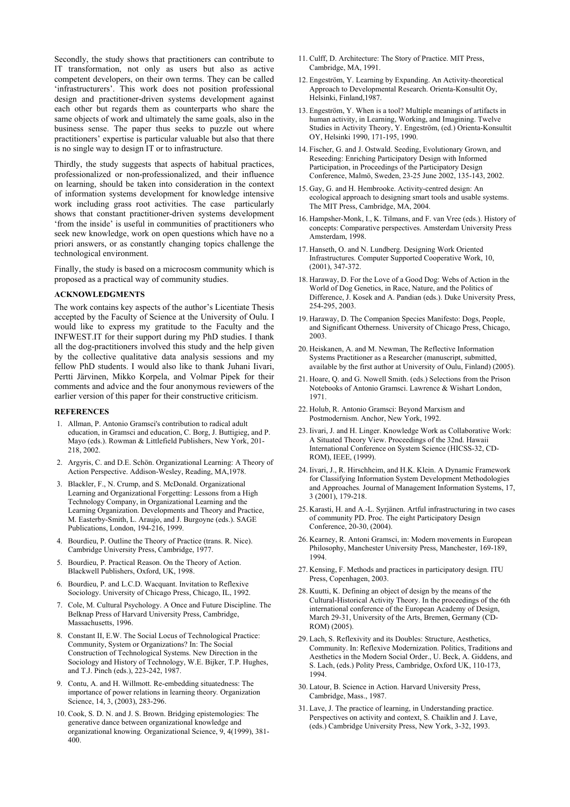Secondly, the study shows that practitioners can contribute to IT transformation, not only as users but also as active competent developers, on their own terms. They can be called 'infrastructurers'. This work does not position professional design and practitioner-driven systems development against each other but regards them as counterparts who share the same objects of work and ultimately the same goals, also in the business sense. The paper thus seeks to puzzle out where practitioners' expertise is particular valuable but also that there is no single way to design IT or to infrastructure.

Thirdly, the study suggests that aspects of habitual practices, professionalized or non-professionalized, and their influence on learning, should be taken into consideration in the context of information systems development for knowledge intensive work including grass root activities. The case particularly shows that constant practitioner-driven systems development 'from the inside' is useful in communities of practitioners who seek new knowledge, work on open questions which have no a priori answers, or as constantly changing topics challenge the technological environment.

Finally, the study is based on a microcosm community which is proposed as a practical way of community studies.

#### **ACKNOWLEDGMENTS**

The work contains key aspects of the author's Licentiate Thesis accepted by the Faculty of Science at the University of Oulu. I would like to express my gratitude to the Faculty and the INFWEST.IT for their support during my PhD studies. I thank all the dog-practitioners involved this study and the help given by the collective qualitative data analysis sessions and my fellow PhD students. I would also like to thank Juhani Iivari, Pertti Järvinen, Mikko Korpela, and Volmar Pipek for their comments and advice and the four anonymous reviewers of the earlier version of this paper for their constructive criticism.

#### **REFERENCES**

- 1. Allman, P. Antonio Gramsci's contribution to radical adult education, in Gramsci and education, C. Borg, J. Buttigieg, and P. Mayo (eds.). Rowman & Littlefield Publishers, New York, 201- 218, 2002.
- 2. Argyris, C. and D.E. Schön. Organizational Learning: A Theory of Action Perspective. Addison-Wesley, Reading, MA,1978.
- 3. Blackler, F., N. Crump, and S. McDonald. Organizational Learning and Organizational Forgetting: Lessons from a High Technology Company, in Organizational Learning and the Learning Organization. Developments and Theory and Practice, M. Easterby-Smith, L. Araujo, and J. Burgoyne (eds.). SAGE Publications, London, 194-216, 1999.
- 4. Bourdieu, P. Outline the Theory of Practice (trans. R. Nice). Cambridge University Press, Cambridge, 1977.
- 5. Bourdieu, P. Practical Reason. On the Theory of Action. Blackwell Publishers, Oxford, UK, 1998.
- 6. Bourdieu, P. and L.C.D. Wacquant. Invitation to Reflexive Sociology. University of Chicago Press, Chicago, IL, 1992.
- 7. Cole, M. Cultural Psychology. A Once and Future Discipline. The Belknap Press of Harvard University Press, Cambridge, Massachusetts, 1996.
- 8. Constant II, E.W. The Social Locus of Technological Practice: Community, System or Organizations? In: The Social Construction of Technological Systems. New Direction in the Sociology and History of Technology, W.E. Bijker, T.P. Hughes, and T.J. Pinch (eds.), 223-242, 1987.
- 9. Contu, A. and H. Willmott. Re-embedding situatedness: The importance of power relations in learning theory*.* Organization Science, 14, 3, (2003), 283-296.
- 10. Cook, S. D. N. and J. S. Brown. Bridging epistemologies: The generative dance between organizational knowledge and organizational knowing*.* Organizational Science, 9, 4(1999), 381- 400.
- 11. Culff, D. Architecture: The Story of Practice. MIT Press, Cambridge, MA, 1991.
- 12. Engeström, Y. Learning by Expanding. An Activity-theoretical Approach to Developmental Research. Orienta-Konsultit Oy, Helsinki, Finland,1987.
- 13. Engeström, Y. When is a tool? Multiple meanings of artifacts in human activity, in Learning, Working, and Imagining. Twelve Studies in Activity Theory, Y. Engeström, (ed.) Orienta-Konsultit OY, Helsinki 1990, 171-195, 1990.
- 14. Fischer, G. and J. Ostwald. Seeding, Evolutionary Grown, and Reseeding: Enriching Participatory Design with Informed Participation, in Proceedings of the Participatory Design Conference, Malmö, Sweden, 23-25 June 2002, 135-143, 2002.
- 15. Gay, G. and H. Hembrooke. Activity-centred design: An ecological approach to designing smart tools and usable systems. The MIT Press, Cambridge, MA, 2004.
- 16. Hampsher-Monk, I., K. Tilmans, and F. van Vree (eds.). History of concepts: Comparative perspectives. Amsterdam University Press Amsterdam, 1998.
- 17. Hanseth, O. and N. Lundberg. Designing Work Oriented Infrastructures*.* Computer Supported Cooperative Work, 10, (2001), 347-372.
- 18. Haraway, D. For the Love of a Good Dog: Webs of Action in the World of Dog Genetics, in Race, Nature, and the Politics of Difference, J. Kosek and A. Pandian (eds.). Duke University Press, 254-295, 2003.
- 19. Haraway, D. The Companion Species Manifesto: Dogs, People, and Significant Otherness. University of Chicago Press, Chicago, 2003.
- 20. Heiskanen, A. and M. Newman, The Reflective Information Systems Practitioner as a Researcher (manuscript, submitted, available by the first author at University of Oulu, Finland) (2005).
- 21. Hoare, Q. and G. Nowell Smith. (eds.) Selections from the Prison Notebooks of Antonio Gramsci. Lawrence & Wishart London, 1971.
- 22. Holub, R. Antonio Gramsci: Beyond Marxism and Postmodernism. Anchor, New York, 1992.
- 23. Iivari, J. and H. Linger. Knowledge Work as Collaborative Work: A Situated Theory View. Proceedings of the 32nd. Hawaii International Conference on System Science (HICSS-32, CD-ROM), IEEE, (1999).
- 24. Iivari, J., R. Hirschheim, and H.K. Klein. A Dynamic Framework for Classifying Information System Development Methodologies and Approaches*.* Journal of Management Information Systems, 17, 3 (2001), 179-218.
- 25. Karasti, H. and A.-L. Syrjänen. Artful infrastructuring in two cases of community PD. Proc. The eight Participatory Design Conference, 20-30, (2004).
- 26. Kearney, R. Antoni Gramsci, in: Modern movements in European Philosophy, Manchester University Press, Manchester, 169-189, 1994.
- 27. Kensing, F. Methods and practices in participatory design. ITU Press, Copenhagen, 2003.
- 28. Kuutti, K. Defining an object of design by the means of the Cultural-Historical Activity Theory. In the proceedings of the 6th international conference of the European Academy of Design, March 29-31, University of the Arts, Bremen, Germany (CD-ROM) (2005).
- 29. Lach, S. Reflexivity and its Doubles: Structure, Aesthetics, Community. In: Reflexive Modernization. Politics, Traditions and Aesthetics in the Modern Social Order., U. Beck, A. Giddens, and S. Lach, (eds.) Polity Press, Cambridge, Oxford UK, 110-173, 1994.
- 30. Latour, B. Science in Action. Harvard University Press, Cambridge, Mass., 1987.
- 31. Lave, J. The practice of learning, in Understanding practice. Perspectives on activity and context, S. Chaiklin and J. Lave, (eds.) Cambridge University Press, New York, 3-32, 1993.